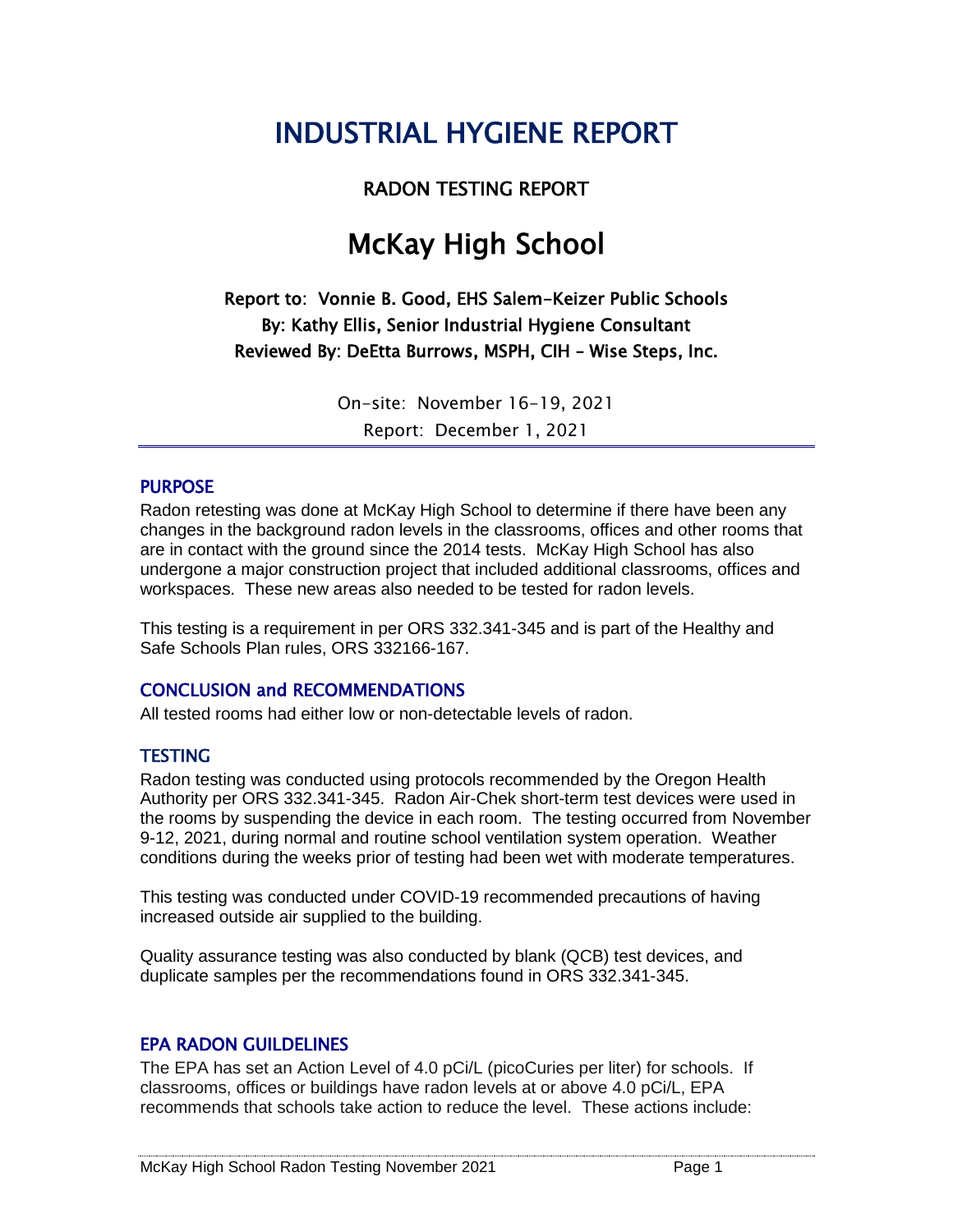## INDUSTRIAL HYGIENE REPORT

#### RADON TESTING REPORT

## McKay High School

Report to: Vonnie B. Good, EHS Salem-Keizer Public Schools By: Kathy Ellis, Senior Industrial Hygiene Consultant Reviewed By: DeEtta Burrows, MSPH, CIH – Wise Steps, Inc.

> On-site: November 16-19, 2021 Report: December 1, 2021

#### PURPOSE

Radon retesting was done at McKay High School to determine if there have been any changes in the background radon levels in the classrooms, offices and other rooms that are in contact with the ground since the 2014 tests. McKay High School has also undergone a major construction project that included additional classrooms, offices and workspaces. These new areas also needed to be tested for radon levels.

This testing is a requirement in per ORS 332.341-345 and is part of the Healthy and Safe Schools Plan rules, ORS 332166-167.

#### CONCLUSION and RECOMMENDATIONS

All tested rooms had either low or non-detectable levels of radon.

#### **TESTING**

Radon testing was conducted using protocols recommended by the Oregon Health Authority per ORS 332.341-345. Radon Air-Chek short-term test devices were used in the rooms by suspending the device in each room. The testing occurred from November 9-12, 2021, during normal and routine school ventilation system operation. Weather conditions during the weeks prior of testing had been wet with moderate temperatures.

This testing was conducted under COVID-19 recommended precautions of having increased outside air supplied to the building.

Quality assurance testing was also conducted by blank (QCB) test devices, and duplicate samples per the recommendations found in ORS 332.341-345.

#### EPA RADON GUILDELINES

The EPA has set an Action Level of 4.0 pCi/L (picoCuries per liter) for schools. If classrooms, offices or buildings have radon levels at or above 4.0 pCi/L, EPA recommends that schools take action to reduce the level. These actions include: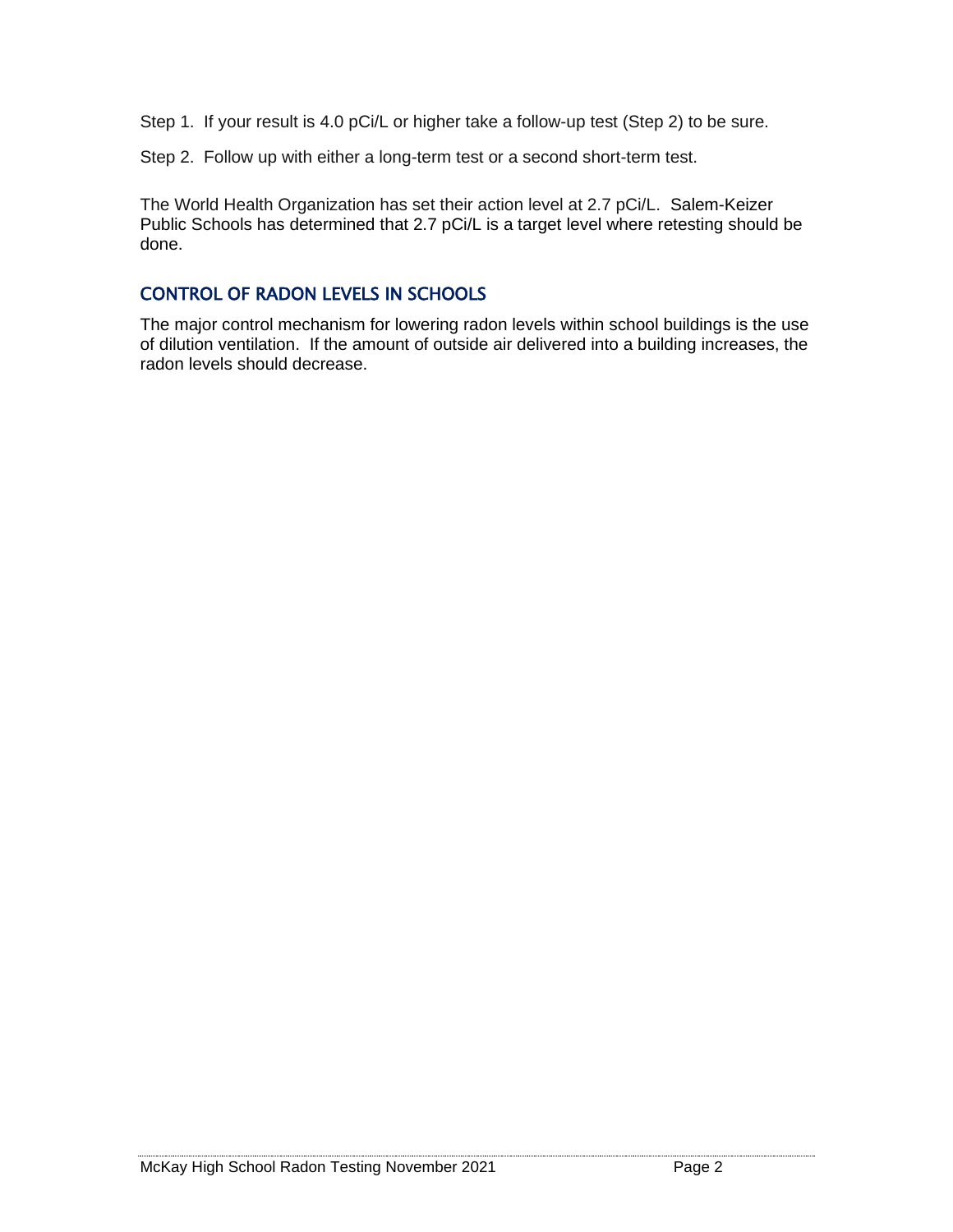Step 1. If your result is 4.0 pCi/L or higher take a follow-up test (Step 2) to be sure.

Step 2. Follow up with either a long-term test or a second short-term test.

The World Health Organization has set their action level at 2.7 pCi/L. Salem-Keizer Public Schools has determined that 2.7 pCi/L is a target level where retesting should be done.

#### CONTROL OF RADON LEVELS IN SCHOOLS

The major control mechanism for lowering radon levels within school buildings is the use of dilution ventilation. If the amount of outside air delivered into a building increases, the radon levels should decrease.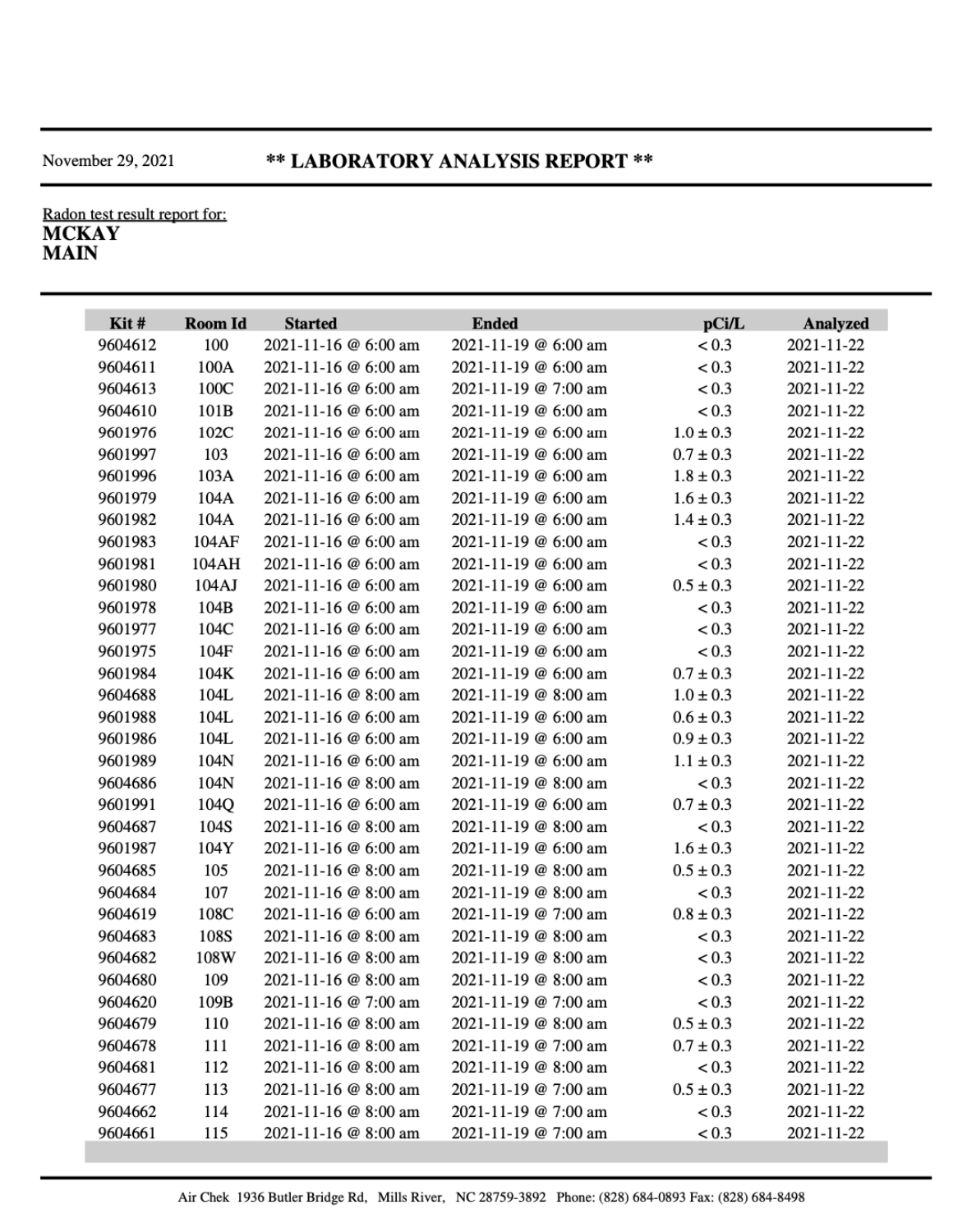#### \*\* LABORATORY ANALYSIS REPORT \*\*

## Radon test result report for: **MCKAY**<br>MAIN

| Kit#    | Room Id | <b>Started</b>       | <b>Ended</b>         | pCi/L         | Analyzed   |
|---------|---------|----------------------|----------------------|---------------|------------|
| 9604612 | 100     | 2021-11-16 @ 6:00 am | 2021-11-19 @ 6:00 am | < 0.3         | 2021-11-22 |
| 9604611 | 100A    | 2021-11-16 @ 6:00 am | 2021-11-19 @ 6:00 am | < 0.3         | 2021-11-22 |
| 9604613 | 100C    | 2021-11-16 @ 6:00 am | 2021-11-19 @ 7:00 am | < 0.3         | 2021-11-22 |
| 9604610 | 101B    | 2021-11-16 @ 6:00 am | 2021-11-19 @ 6:00 am | < 0.3         | 2021-11-22 |
| 9601976 | 102C    | 2021-11-16 @ 6:00 am | 2021-11-19 @ 6:00 am | $1.0 \pm 0.3$ | 2021-11-22 |
| 9601997 | 103     | 2021-11-16 @ 6:00 am | 2021-11-19 @ 6:00 am | $0.7 \pm 0.3$ | 2021-11-22 |
| 9601996 | 103A    | 2021-11-16 @ 6:00 am | 2021-11-19 @ 6:00 am | $1.8 \pm 0.3$ | 2021-11-22 |
| 9601979 | 104A    | 2021-11-16 @ 6:00 am | 2021-11-19 @ 6:00 am | $1.6 \pm 0.3$ | 2021-11-22 |
| 9601982 | 104A    | 2021-11-16 @ 6:00 am | 2021-11-19 @ 6:00 am | $1.4 \pm 0.3$ | 2021-11-22 |
| 9601983 | 104AF   | 2021-11-16 @ 6:00 am | 2021-11-19 @ 6:00 am | < 0.3         | 2021-11-22 |
| 9601981 | 104AH   | 2021-11-16 @ 6:00 am | 2021-11-19 @ 6:00 am | < 0.3         | 2021-11-22 |
| 9601980 | 104AJ   | 2021-11-16 @ 6:00 am | 2021-11-19 @ 6:00 am | $0.5 \pm 0.3$ | 2021-11-22 |
| 9601978 | 104B    | 2021-11-16 @ 6:00 am | 2021-11-19 @ 6:00 am | < 0.3         | 2021-11-22 |
| 9601977 | 104C    | 2021-11-16 @ 6:00 am | 2021-11-19 @ 6:00 am | < 0.3         | 2021-11-22 |
| 9601975 | 104F    | 2021-11-16 @ 6:00 am | 2021-11-19 @ 6:00 am | < 0.3         | 2021-11-22 |
| 9601984 | 104K    | 2021-11-16 @ 6:00 am | 2021-11-19 @ 6:00 am | $0.7 \pm 0.3$ | 2021-11-22 |
| 9604688 | 104L    | 2021-11-16 @ 8:00 am | 2021-11-19 @ 8:00 am | $1.0 \pm 0.3$ | 2021-11-22 |
| 9601988 | 104L    | 2021-11-16 @ 6:00 am | 2021-11-19 @ 6:00 am | $0.6 \pm 0.3$ | 2021-11-22 |
| 9601986 | 104L    | 2021-11-16 @ 6:00 am | 2021-11-19 @ 6:00 am | $0.9 \pm 0.3$ | 2021-11-22 |
| 9601989 | 104N    | 2021-11-16 @ 6:00 am | 2021-11-19 @ 6:00 am | $1.1 \pm 0.3$ | 2021-11-22 |
| 9604686 | 104N    | 2021-11-16 @ 8:00 am | 2021-11-19 @ 8:00 am | < 0.3         | 2021-11-22 |
| 9601991 | 104Q    | 2021-11-16 @ 6:00 am | 2021-11-19 @ 6:00 am | $0.7 \pm 0.3$ | 2021-11-22 |
| 9604687 | 104S    | 2021-11-16 @ 8:00 am | 2021-11-19 @ 8:00 am | < 0.3         | 2021-11-22 |
| 9601987 | 104Y    | 2021-11-16 @ 6:00 am | 2021-11-19 @ 6:00 am | $1.6 \pm 0.3$ | 2021-11-22 |
| 9604685 | 105     | 2021-11-16 @ 8:00 am | 2021-11-19 @ 8:00 am | $0.5 \pm 0.3$ | 2021-11-22 |
| 9604684 | 107     | 2021-11-16 @ 8:00 am | 2021-11-19 @ 8:00 am | < 0.3         | 2021-11-22 |
| 9604619 | 108C    | 2021-11-16 @ 6:00 am | 2021-11-19 @ 7:00 am | $0.8 \pm 0.3$ | 2021-11-22 |
| 9604683 | 108S    | 2021-11-16 @ 8:00 am | 2021-11-19 @ 8:00 am | < 0.3         | 2021-11-22 |
| 9604682 | 108W    | 2021-11-16 @ 8:00 am | 2021-11-19 @ 8:00 am | < 0.3         | 2021-11-22 |
| 9604680 | 109     | 2021-11-16 @ 8:00 am | 2021-11-19 @ 8:00 am | < 0.3         | 2021-11-22 |
| 9604620 | 109B    | 2021-11-16 @ 7:00 am | 2021-11-19 @ 7:00 am | < 0.3         | 2021-11-22 |
| 9604679 | 110     | 2021-11-16 @ 8:00 am | 2021-11-19 @ 8:00 am | $0.5 \pm 0.3$ | 2021-11-22 |
| 9604678 | 111     | 2021-11-16 @ 8:00 am | 2021-11-19 @ 7:00 am | $0.7 \pm 0.3$ | 2021-11-22 |
| 9604681 | 112     | 2021-11-16 @ 8:00 am | 2021-11-19 @ 8:00 am | < 0.3         | 2021-11-22 |
| 9604677 | 113     | 2021-11-16 @ 8:00 am | 2021-11-19 @ 7:00 am | $0.5 \pm 0.3$ | 2021-11-22 |
| 9604662 | 114     | 2021-11-16 @ 8:00 am | 2021-11-19 @ 7:00 am | < 0.3         | 2021-11-22 |
| 9604661 | 115     | 2021-11-16 @ 8:00 am | 2021-11-19 @ 7:00 am | < 0.3         | 2021-11-22 |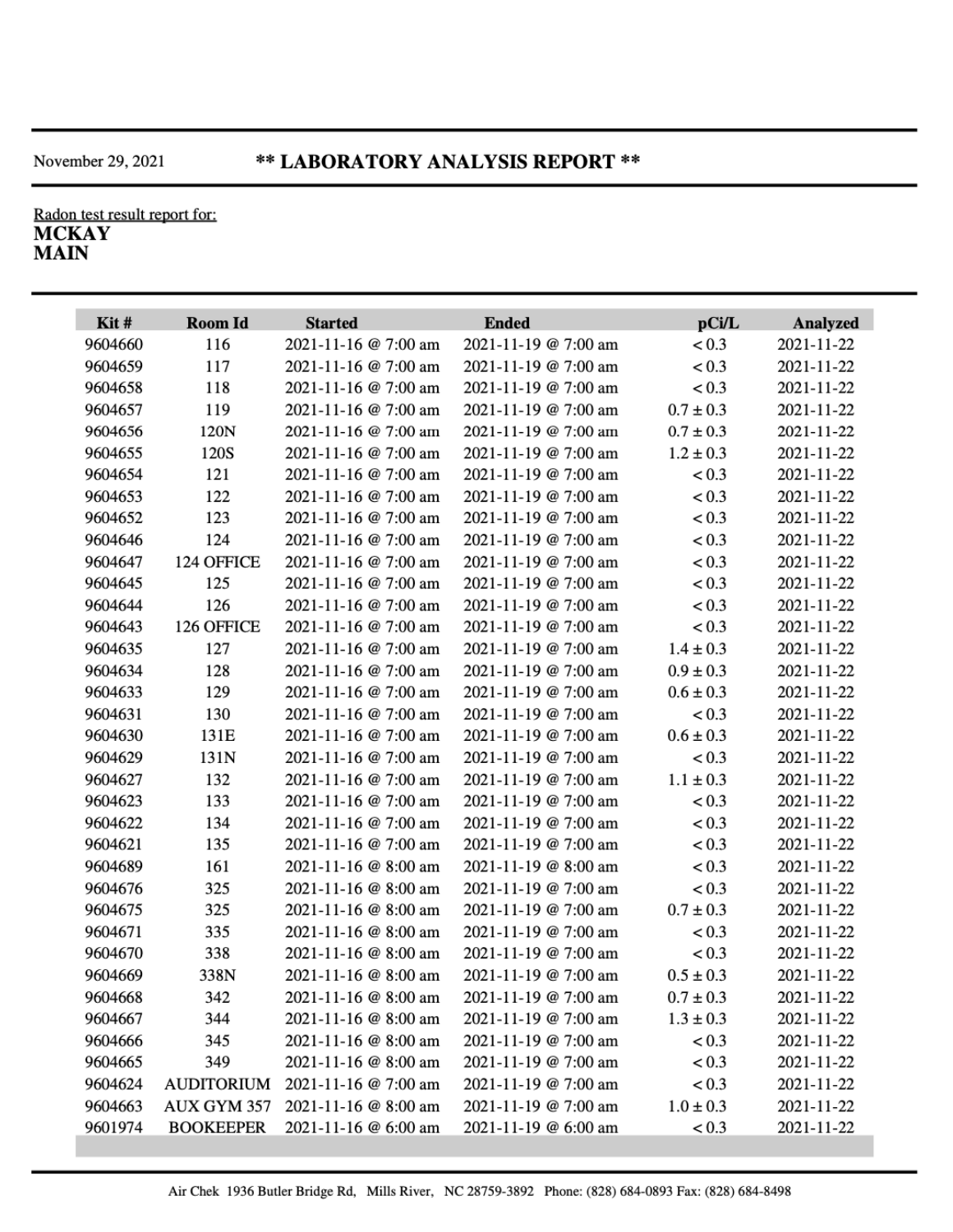#### \*\* LABORATORY ANALYSIS REPORT \*\*

## Radon test result report for: **MCKAY**<br>MAIN

| Kit#    | Room Id          | <b>Started</b>       | <b>Ended</b>         | pCi/L         | <b>Analyzed</b> |
|---------|------------------|----------------------|----------------------|---------------|-----------------|
| 9604660 | 116              | 2021-11-16 @ 7:00 am | 2021-11-19 @ 7:00 am | < 0.3         | 2021-11-22      |
| 9604659 | 117              | 2021-11-16 @ 7:00 am | 2021-11-19 @ 7:00 am | < 0.3         | 2021-11-22      |
| 9604658 | 118              | 2021-11-16 @ 7:00 am | 2021-11-19 @ 7:00 am | < 0.3         | 2021-11-22      |
| 9604657 | 119              | 2021-11-16 @ 7:00 am | 2021-11-19 @ 7:00 am | $0.7 \pm 0.3$ | 2021-11-22      |
| 9604656 | 120N             | 2021-11-16 @ 7:00 am | 2021-11-19 @ 7:00 am | $0.7 \pm 0.3$ | 2021-11-22      |
| 9604655 | 120S             | 2021-11-16 @ 7:00 am | 2021-11-19 @ 7:00 am | $1.2 \pm 0.3$ | 2021-11-22      |
| 9604654 | 121              | 2021-11-16 @ 7:00 am | 2021-11-19 @ 7:00 am | < 0.3         | 2021-11-22      |
| 9604653 | 122              | 2021-11-16 @ 7:00 am | 2021-11-19 @ 7:00 am | < 0.3         | 2021-11-22      |
| 9604652 | 123              | 2021-11-16 @ 7:00 am | 2021-11-19 @ 7:00 am | < 0.3         | 2021-11-22      |
| 9604646 | 124              | 2021-11-16 @ 7:00 am | 2021-11-19 @ 7:00 am | < 0.3         | 2021-11-22      |
| 9604647 | 124 OFFICE       | 2021-11-16 @ 7:00 am | 2021-11-19 @ 7:00 am | < 0.3         | 2021-11-22      |
| 9604645 | 125              | 2021-11-16 @ 7:00 am | 2021-11-19 @ 7:00 am | < 0.3         | 2021-11-22      |
| 9604644 | 126              | 2021-11-16 @ 7:00 am | 2021-11-19 @ 7:00 am | < 0.3         | 2021-11-22      |
| 9604643 | 126 OFFICE       | 2021-11-16 @ 7:00 am | 2021-11-19 @ 7:00 am | < 0.3         | 2021-11-22      |
| 9604635 | 127              | 2021-11-16 @ 7:00 am | 2021-11-19 @ 7:00 am | $1.4 \pm 0.3$ | 2021-11-22      |
| 9604634 | 128              | 2021-11-16 @ 7:00 am | 2021-11-19 @ 7:00 am | $0.9 \pm 0.3$ | 2021-11-22      |
| 9604633 | 129              | 2021-11-16 @ 7:00 am | 2021-11-19 @ 7:00 am | $0.6 \pm 0.3$ | 2021-11-22      |
| 9604631 | 130              | 2021-11-16 @ 7:00 am | 2021-11-19 @ 7:00 am | < 0.3         | 2021-11-22      |
| 9604630 | 131E             | 2021-11-16 @ 7:00 am | 2021-11-19 @ 7:00 am | $0.6 \pm 0.3$ | 2021-11-22      |
| 9604629 | 131N             | 2021-11-16 @ 7:00 am | 2021-11-19 @ 7:00 am | < 0.3         | 2021-11-22      |
| 9604627 | 132              | 2021-11-16 @ 7:00 am | 2021-11-19 @ 7:00 am | $1.1 \pm 0.3$ | 2021-11-22      |
| 9604623 | 133              | 2021-11-16 @ 7:00 am | 2021-11-19 @ 7:00 am | < 0.3         | 2021-11-22      |
| 9604622 | 134              | 2021-11-16 @ 7:00 am | 2021-11-19 @ 7:00 am | < 0.3         | 2021-11-22      |
| 9604621 | 135              | 2021-11-16 @ 7:00 am | 2021-11-19 @ 7:00 am | < 0.3         | 2021-11-22      |
| 9604689 | 161              | 2021-11-16 @ 8:00 am | 2021-11-19 @ 8:00 am | < 0.3         | 2021-11-22      |
| 9604676 | 325              | 2021-11-16 @ 8:00 am | 2021-11-19 @ 7:00 am | < 0.3         | 2021-11-22      |
| 9604675 | 325              | 2021-11-16 @ 8:00 am | 2021-11-19 @ 7:00 am | $0.7 \pm 0.3$ | 2021-11-22      |
| 9604671 | 335              | 2021-11-16 @ 8:00 am | 2021-11-19 @ 7:00 am | < 0.3         | 2021-11-22      |
| 9604670 | 338              | 2021-11-16 @ 8:00 am | 2021-11-19 @ 7:00 am | < 0.3         | 2021-11-22      |
| 9604669 | 338N             | 2021-11-16 @ 8:00 am | 2021-11-19 @ 7:00 am | $0.5 \pm 0.3$ | 2021-11-22      |
| 9604668 | 342              | 2021-11-16 @ 8:00 am | 2021-11-19 @ 7:00 am | $0.7 \pm 0.3$ | 2021-11-22      |
| 9604667 | 344              | 2021-11-16 @ 8:00 am | 2021-11-19 @ 7:00 am | $1.3 \pm 0.3$ | 2021-11-22      |
| 9604666 | 345              | 2021-11-16 @ 8:00 am | 2021-11-19 @ 7:00 am | < 0.3         | 2021-11-22      |
| 9604665 | 349              | 2021-11-16 @ 8:00 am | 2021-11-19 @ 7:00 am | < 0.3         | 2021-11-22      |
| 9604624 | AUDITORIUM       | 2021-11-16 @ 7:00 am | 2021-11-19 @ 7:00 am | < 0.3         | 2021-11-22      |
| 9604663 | AUX GYM 357      | 2021-11-16 @ 8:00 am | 2021-11-19 @ 7:00 am | $1.0 \pm 0.3$ | 2021-11-22      |
| 9601974 | <b>BOOKEEPER</b> | 2021-11-16 @ 6:00 am | 2021-11-19 @ 6:00 am | < 0.3         | 2021-11-22      |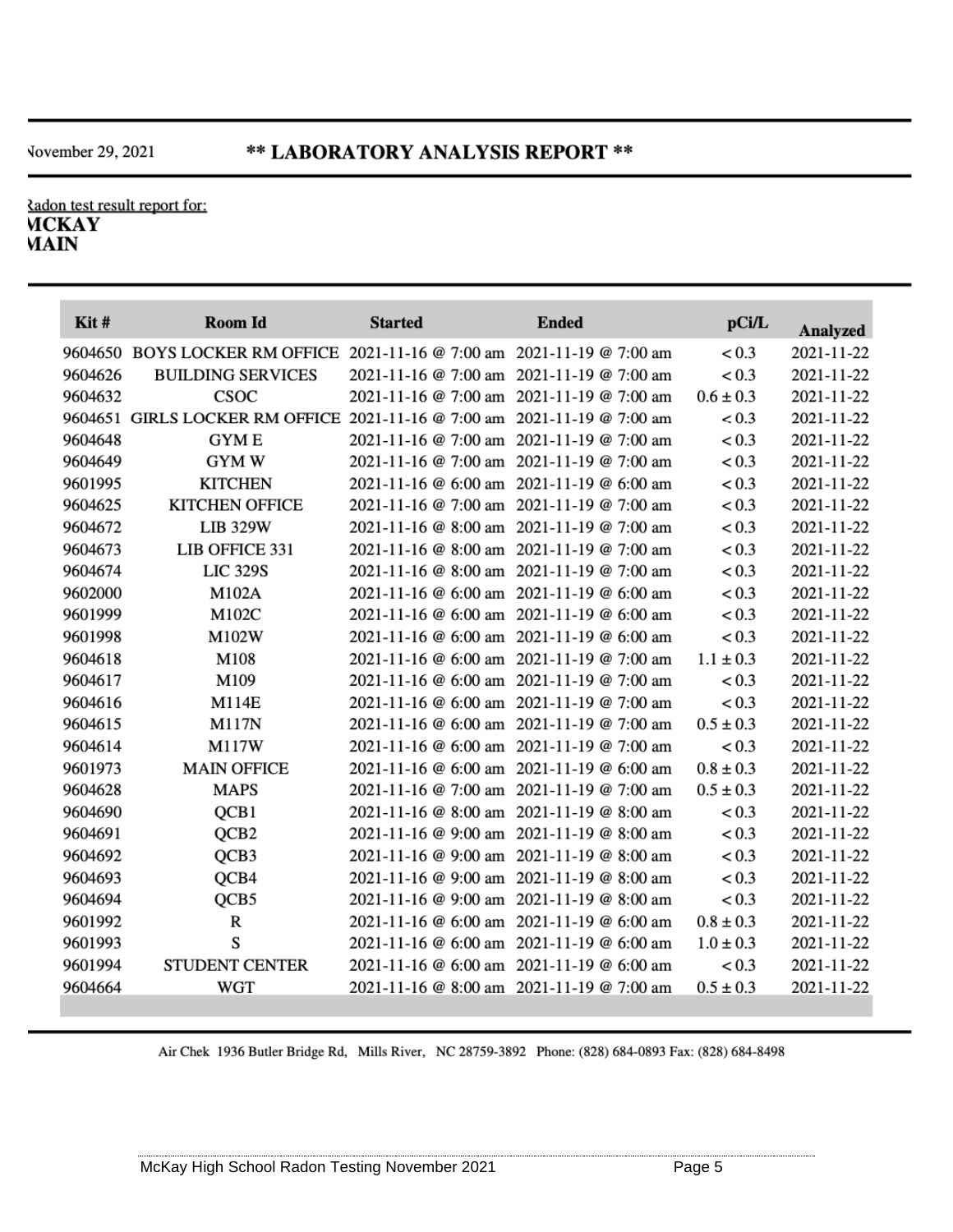cadon test result report for: **MCKAY MAIN** 

| $K$ it# | <b>Room Id</b>                                                          | <b>Started</b> | <b>Ended</b>                              | pCi/L         | <b>Analyzed</b> |
|---------|-------------------------------------------------------------------------|----------------|-------------------------------------------|---------------|-----------------|
|         | 9604650 BOYS LOCKER RM OFFICE 2021-11-16 @ 7:00 am 2021-11-19 @ 7:00 am |                |                                           | < 0.3         | 2021-11-22      |
| 9604626 | <b>BUILDING SERVICES</b>                                                |                | 2021-11-16 @ 7:00 am 2021-11-19 @ 7:00 am | < 0.3         | 2021-11-22      |
| 9604632 | CSOC                                                                    |                | 2021-11-16 @ 7:00 am 2021-11-19 @ 7:00 am | $0.6 \pm 0.3$ | 2021-11-22      |
| 9604651 | GIRLS LOCKER RM OFFICE 2021-11-16 @ 7:00 am 2021-11-19 @ 7:00 am        |                |                                           | < 0.3         | 2021-11-22      |
| 9604648 | <b>GYME</b>                                                             |                | 2021-11-16 @ 7:00 am 2021-11-19 @ 7:00 am | < 0.3         | 2021-11-22      |
| 9604649 | <b>GYM W</b>                                                            |                | 2021-11-16 @ 7:00 am 2021-11-19 @ 7:00 am | < 0.3         | 2021-11-22      |
| 9601995 | <b>KITCHEN</b>                                                          |                | 2021-11-16 @ 6:00 am 2021-11-19 @ 6:00 am | < 0.3         | 2021-11-22      |
| 9604625 | <b>KITCHEN OFFICE</b>                                                   |                | 2021-11-16 @ 7:00 am 2021-11-19 @ 7:00 am | < 0.3         | 2021-11-22      |
| 9604672 | <b>LIB 329W</b>                                                         |                | 2021-11-16 @ 8:00 am 2021-11-19 @ 7:00 am | < 0.3         | 2021-11-22      |
| 9604673 | LIB OFFICE 331                                                          |                | 2021-11-16 @ 8:00 am 2021-11-19 @ 7:00 am | < 0.3         | 2021-11-22      |
| 9604674 | <b>LIC 329S</b>                                                         |                | 2021-11-16 @ 8:00 am 2021-11-19 @ 7:00 am | < 0.3         | 2021-11-22      |
| 9602000 | M102A                                                                   |                | 2021-11-16 @ 6:00 am 2021-11-19 @ 6:00 am | < 0.3         | 2021-11-22      |
| 9601999 | M102C                                                                   |                | 2021-11-16 @ 6:00 am 2021-11-19 @ 6:00 am | < 0.3         | 2021-11-22      |
| 9601998 | M102W                                                                   |                | 2021-11-16 @ 6:00 am 2021-11-19 @ 6:00 am | < 0.3         | 2021-11-22      |
| 9604618 | M108                                                                    |                | 2021-11-16 @ 6:00 am 2021-11-19 @ 7:00 am | $1.1 \pm 0.3$ | 2021-11-22      |
| 9604617 | M109                                                                    |                | 2021-11-16 @ 6:00 am 2021-11-19 @ 7:00 am | < 0.3         | 2021-11-22      |
| 9604616 | M114E                                                                   |                | 2021-11-16 @ 6:00 am 2021-11-19 @ 7:00 am | < 0.3         | 2021-11-22      |
| 9604615 | <b>M117N</b>                                                            |                | 2021-11-16 @ 6:00 am 2021-11-19 @ 7:00 am | $0.5 \pm 0.3$ | 2021-11-22      |
| 9604614 | M117W                                                                   |                | 2021-11-16 @ 6:00 am 2021-11-19 @ 7:00 am | < 0.3         | 2021-11-22      |
| 9601973 | <b>MAIN OFFICE</b>                                                      |                | 2021-11-16 @ 6:00 am 2021-11-19 @ 6:00 am | $0.8 \pm 0.3$ | 2021-11-22      |
| 9604628 | <b>MAPS</b>                                                             |                | 2021-11-16 @ 7:00 am 2021-11-19 @ 7:00 am | $0.5 \pm 0.3$ | 2021-11-22      |
| 9604690 | QCB1                                                                    |                | 2021-11-16 @ 8:00 am 2021-11-19 @ 8:00 am | < 0.3         | 2021-11-22      |
| 9604691 | QCB <sub>2</sub>                                                        |                | 2021-11-16 @ 9:00 am 2021-11-19 @ 8:00 am | < 0.3         | 2021-11-22      |
| 9604692 | QCB3                                                                    |                | 2021-11-16 @ 9:00 am 2021-11-19 @ 8:00 am | < 0.3         | 2021-11-22      |
| 9604693 | QCB4                                                                    |                | 2021-11-16 @ 9:00 am 2021-11-19 @ 8:00 am | < 0.3         | 2021-11-22      |
| 9604694 | QCB5                                                                    |                | 2021-11-16 @ 9:00 am 2021-11-19 @ 8:00 am | < 0.3         | 2021-11-22      |
| 9601992 | $\mathbb R$                                                             |                | 2021-11-16 @ 6:00 am 2021-11-19 @ 6:00 am | $0.8 \pm 0.3$ | 2021-11-22      |
| 9601993 | S                                                                       |                | 2021-11-16 @ 6:00 am 2021-11-19 @ 6:00 am | $1.0 \pm 0.3$ | 2021-11-22      |
| 9601994 | <b>STUDENT CENTER</b>                                                   |                | 2021-11-16 @ 6:00 am 2021-11-19 @ 6:00 am | < 0.3         | 2021-11-22      |
| 9604664 | WGT                                                                     |                | 2021-11-16 @ 8:00 am 2021-11-19 @ 7:00 am | $0.5 \pm 0.3$ | 2021-11-22      |

Air Chek 1936 Butler Bridge Rd, Mills River, NC 28759-3892 Phone: (828) 684-0893 Fax: (828) 684-8498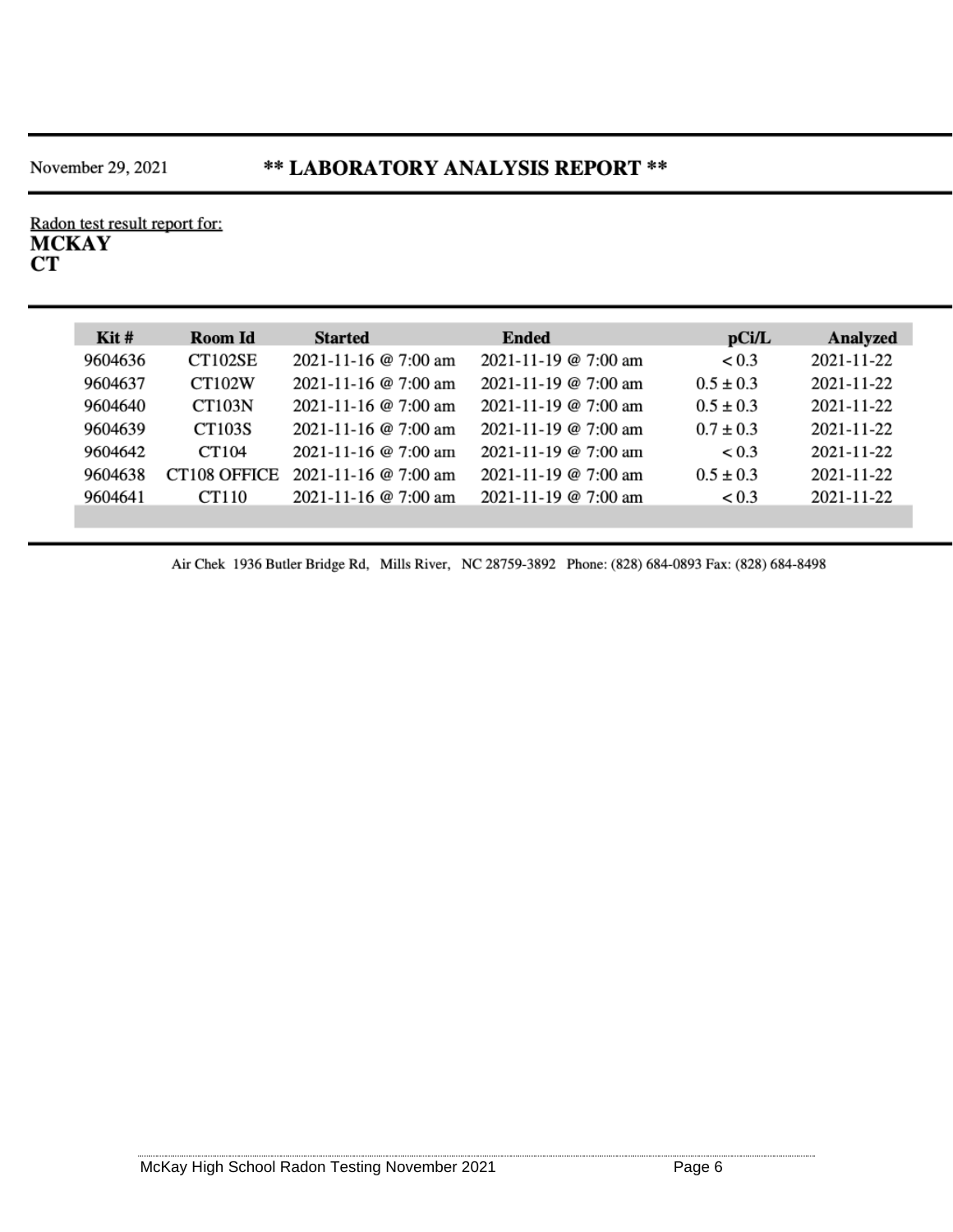#### \*\* LABORATORY ANALYSIS REPORT \*\*

Radon test result report for:<br>MCKAY  $CT$ 

| $\operatorname{Kit}$ #<br>Room Id<br>CT102SE<br>9604636 | <b>Started</b>       | <b>Ended</b>         | pCi/L         | Analyzed   |
|---------------------------------------------------------|----------------------|----------------------|---------------|------------|
|                                                         |                      |                      |               |            |
|                                                         | 2021-11-16 @ 7:00 am | 2021-11-19 @ 7:00 am | < 0.3         | 2021-11-22 |
| 9604637<br><b>CT102W</b>                                | 2021-11-16 @ 7:00 am | 2021-11-19 @ 7:00 am | $0.5 \pm 0.3$ | 2021-11-22 |
| 9604640<br><b>CT103N</b>                                | 2021-11-16 @ 7:00 am | 2021-11-19 @ 7:00 am | $0.5 \pm 0.3$ | 2021-11-22 |
| 9604639<br><b>CT103S</b>                                | 2021-11-16 @ 7:00 am | 2021-11-19 @ 7:00 am | $0.7 \pm 0.3$ | 2021-11-22 |
| 9604642<br>CT104                                        | 2021-11-16 @ 7:00 am | 2021-11-19 @ 7:00 am | < 0.3         | 2021-11-22 |
| CT <sub>108</sub> OFFICE<br>9604638                     | 2021-11-16 @ 7:00 am | 2021-11-19 @ 7:00 am | $0.5 \pm 0.3$ | 2021-11-22 |
| 9604641<br>CT110                                        | 2021-11-16 @ 7:00 am | 2021-11-19 @ 7:00 am | < 0.3         | 2021-11-22 |

Air Chek 1936 Butler Bridge Rd, Mills River, NC 28759-3892 Phone: (828) 684-0893 Fax: (828) 684-8498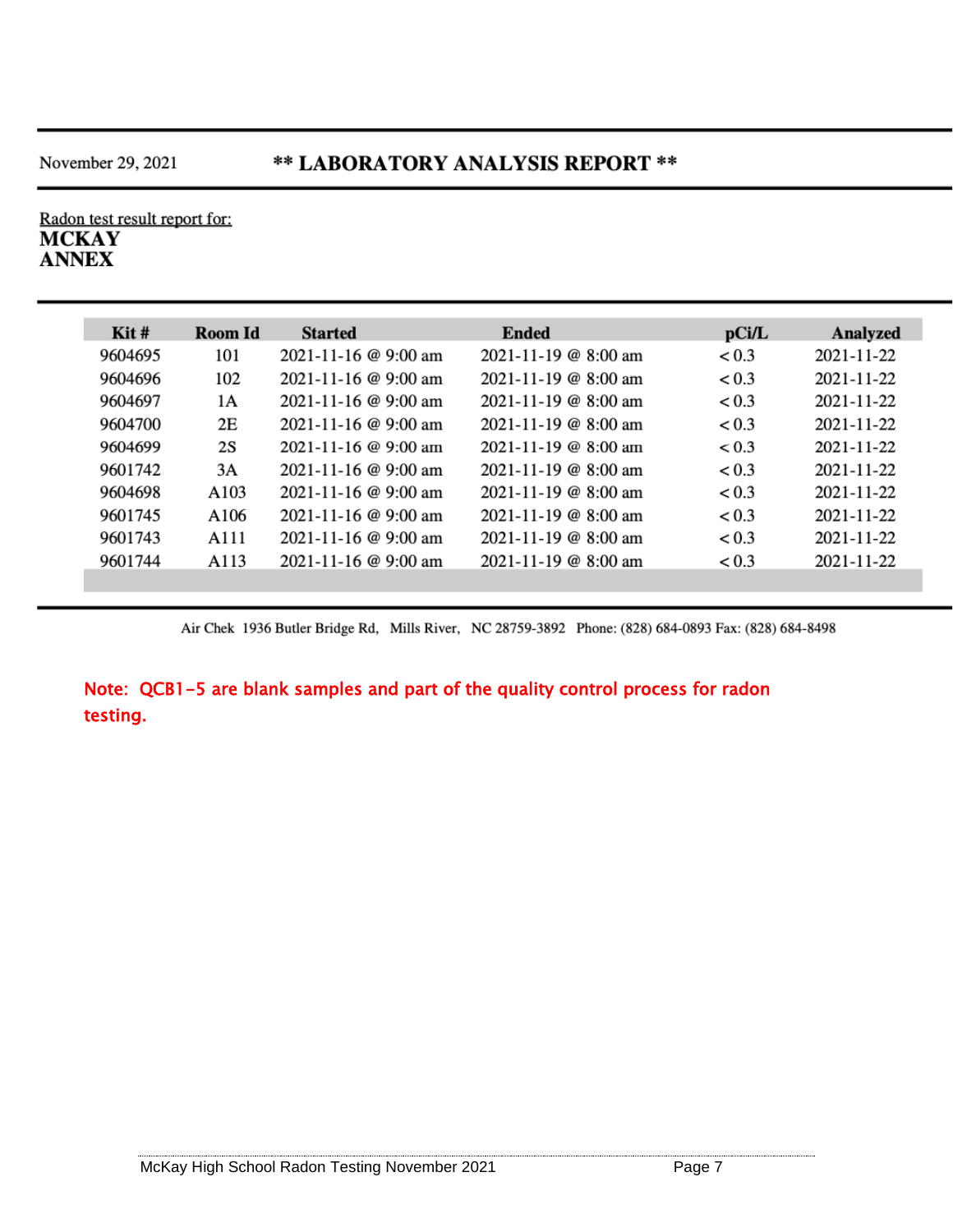#### \*\* LABORATORY ANALYSIS REPORT \*\*

Radon test result report for: **MCKAY ANNEX** 

| $\operatorname{Kit}$ # | Room Id | <b>Started</b>             | <b>Ended</b>               | pCi/L | Analyzed         |
|------------------------|---------|----------------------------|----------------------------|-------|------------------|
| 9604695                | 101     | 2021-11-16 @ 9:00 am       | $2021 - 11 - 19$ @ 8:00 am | < 0.3 | 2021-11-22       |
| 9604696                | 102     | 2021-11-16 @ 9:00 am       | 2021-11-19 @ 8:00 am       | < 0.3 | 2021-11-22       |
| 9604697                | 1A      | 2021-11-16 @ 9:00 am       | $2021 - 11 - 19$ @ 8:00 am | < 0.3 | 2021-11-22       |
| 9604700                | 2E      | 2021-11-16 @ 9:00 am       | $2021 - 11 - 19$ @ 8:00 am | < 0.3 | 2021-11-22       |
| 9604699                | 2S      | $2021 - 11 - 16$ @ 9:00 am | $2021 - 11 - 19$ @ 8:00 am | < 0.3 | $2021 - 11 - 22$ |
| 9601742                | 3A      | 2021-11-16 @ 9:00 am       | 2021-11-19 @ 8:00 am       | < 0.3 | 2021-11-22       |
| 9604698                | A103    | 2021-11-16 @ 9:00 am       | $2021 - 11 - 19$ @ 8:00 am | < 0.3 | 2021-11-22       |
| 9601745                | A106    | 2021-11-16 @ 9:00 am       | $2021 - 11 - 19$ @ 8:00 am | < 0.3 | 2021-11-22       |
| 9601743                | A111    | $2021 - 11 - 16$ @ 9:00 am | $2021 - 11 - 19$ @ 8:00 am | < 0.3 | 2021-11-22       |
| 9601744                | A113    | 2021-11-16 @ 9:00 am       | $2021 - 11 - 19$ @ 8:00 am | < 0.3 | 2021-11-22       |
|                        |         |                            |                            |       |                  |

Air Chek 1936 Butler Bridge Rd, Mills River, NC 28759-3892 Phone: (828) 684-0893 Fax: (828) 684-8498

Note: QCB1-5 are blank samples and part of the quality control process for radon testing.